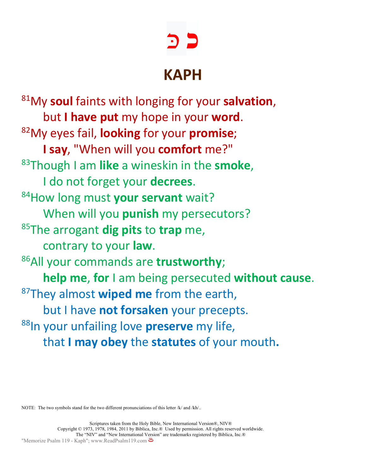# **כ** כּ

## **KAPH**

81My **soul** faints with longing for your **salvation**, but **I have put** my hope in your **word**. 82My eyes fail, **looking** for your **promise**; **I say**, "When will you **comfort** me?" 83Though I am **like** a wineskin in the **smoke**, I do not forget your **decrees**. 84How long must **your servant** wait? When will you **punish** my persecutors? 85The arrogant **dig pits** to **trap** me, contrary to your **law**. 86All your commands are **trustworthy**; **help me**, **for** I am being persecuted **without cause**. 87They almost **wiped me** from the earth, but I have **not forsaken** your precepts. 88In your unfailing love **preserve** my life, that **I may obey** the **statutes** of your mouth**.**

NOTE: The two symbols stand for the two different pronunciations of this letter /k/ and /kh/..